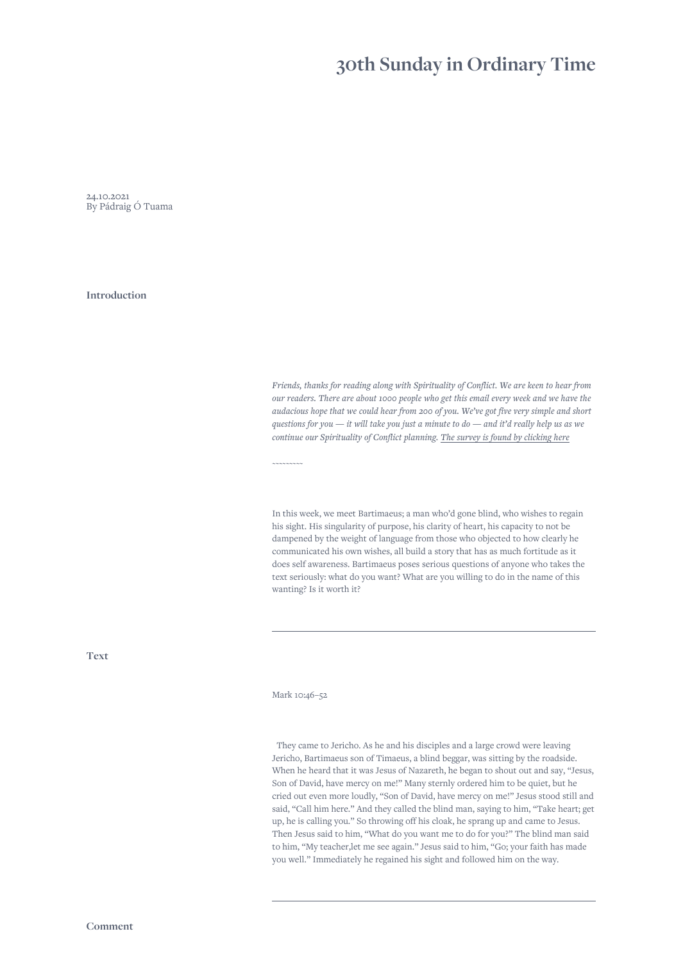## **30th Sunday in Ordinary Time**

24.10.2021 By Pádraig Ó Tuama

**Introduction**

*Friends, thanks for reading along with Spirituality of Conflict. We are keen to hear from our readers. There are about 1000 people who get this email every week and we have the audacious hope that we could hear from 200 of you. We've got five very simple and short questions for you — it will take you just a minute to do — and it'd really help us as we continue our Spirituality of Conflict planning. [The survey is found by clicking here](https://www.surveymonkey.com/r/RDWKGVL)*

In this week, we meet Bartimaeus; a man who'd gone blind, who wishes to regain his sight. His singularity of purpose, his clarity of heart, his capacity to not be dampened by the weight of language from those who objected to how clearly he communicated his own wishes, all build a story that has as much fortitude as it does self awareness. Bartimaeus poses serious questions of anyone who takes the text seriously: what do you want? What are you willing to do in the name of this wanting? Is it worth it?

**Text**

Mark 10:46–52

*~~~~~~~~~*

 They came to Jericho. As he and his disciples and a large crowd were leaving Jericho, Bartimaeus son of Timaeus, a blind beggar, was sitting by the roadside. When he heard that it was Jesus of Nazareth, he began to shout out and say, "Jesus, Son of David, have mercy on me!" Many sternly ordered him to be quiet, but he cried out even more loudly, "Son of David, have mercy on me!" Jesus stood still and said, "Call him here." And they called the blind man, saying to him, "Take heart; get up, he is calling you." So throwing off his cloak, he sprang up and came to Jesus. Then Jesus said to him, "What do you want me to do for you?" The blind man said to him, "My teacher,let me see again." Jesus said to him, "Go; your faith has made you well." Immediately he regained his sight and followed him on the way.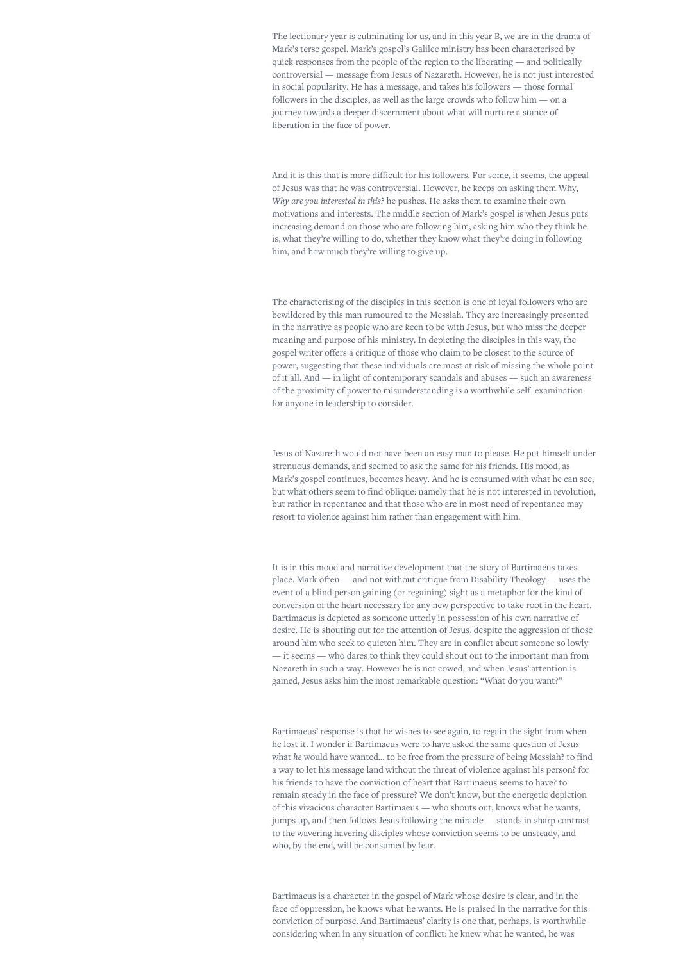The lectionary year is culminating for us, and in this year B, we are in the drama of Mark's terse gospel. Mark's gospel's Galilee ministry has been characterised by quick responses from the people of the region to the liberating — and politically controversial — message from Jesus of Nazareth. However, he is not just interested in social popularity. He has a message, and takes his followers — those formal followers in the disciples, as well as the large crowds who follow him — on a journey towards a deeper discernment about what will nurture a stance of liberation in the face of power.

And it is this that is more difficult for his followers. For some, it seems, the appeal of Jesus was that he was controversial. However, he keeps on asking them Why, *Why are you interested in this?* he pushes. He asks them to examine their own motivations and interests. The middle section of Mark's gospel is when Jesus puts increasing demand on those who are following him, asking him who they think he is, what they're willing to do, whether they know what they're doing in following him, and how much they're willing to give up.

The characterising of the disciples in this section is one of loyal followers who are bewildered by this man rumoured to the Messiah. They are increasingly presented in the narrative as people who are keen to be with Jesus, but who miss the deeper meaning and purpose of his ministry. In depicting the disciples in this way, the gospel writer offers a critique of those who claim to be closest to the source of power, suggesting that these individuals are most at risk of missing the whole point of it all. And — in light of contemporary scandals and abuses — such an awareness of the proximity of power to misunderstanding is a worthwhile self–examination for anyone in leadership to consider.

Jesus of Nazareth would not have been an easy man to please. He put himself under strenuous demands, and seemed to ask the same for his friends. His mood, as Mark's gospel continues, becomes heavy. And he is consumed with what he can see, but what others seem to find oblique: namely that he is not interested in revolution, but rather in repentance and that those who are in most need of repentance may resort to violence against him rather than engagement with him.

It is in this mood and narrative development that the story of Bartimaeus takes place. Mark often — and not without critique from Disability Theology — uses the event of a blind person gaining (or regaining) sight as a metaphor for the kind of conversion of the heart necessary for any new perspective to take root in the heart. Bartimaeus is depicted as someone utterly in possession of his own narrative of desire. He is shouting out for the attention of Jesus, despite the aggression of those around him who seek to quieten him. They are in conflict about someone so lowly — it seems — who dares to think they could shout out to the important man from Nazareth in such a way. However he is not cowed, and when Jesus' attention is gained, Jesus asks him the most remarkable question: "What do you want?"

Bartimaeus' response is that he wishes to see again, to regain the sight from when he lost it. I wonder if Bartimaeus were to have asked the same question of Jesus what *he* would have wanted… to be free from the pressure of being Messiah? to find a way to let his message land without the threat of violence against his person? for his friends to have the conviction of heart that Bartimaeus seems to have? to remain steady in the face of pressure? We don't know, but the energetic depiction of this vivacious character Bartimaeus — who shouts out, knows what he wants, jumps up, and then follows Jesus following the miracle — stands in sharp contrast to the wavering havering disciples whose conviction seems to be unsteady, and who, by the end, will be consumed by fear.

Bartimaeus is a character in the gospel of Mark whose desire is clear, and in the face of oppression, he knows what he wants. He is praised in the narrative for this conviction of purpose. And Bartimaeus' clarity is one that, perhaps, is worthwhile considering when in any situation of conflict: he knew what he wanted, he was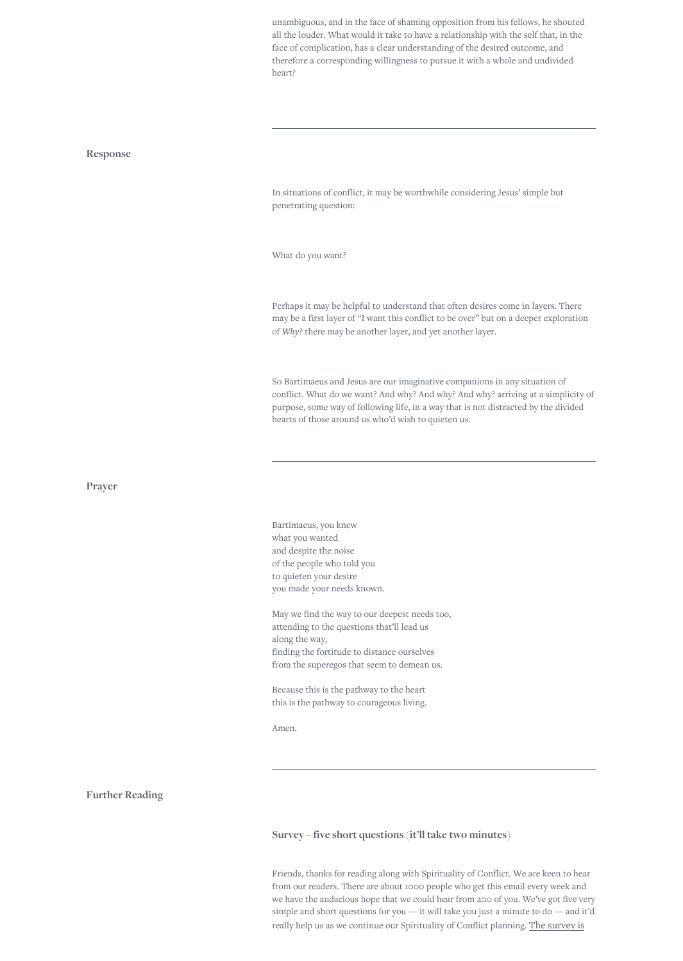unambiguous, and in the face of shaming opposition from his fellows, he shouted all the louder. What would it take to have a relationship with the self that, in the face of complication, has a clear understanding of the desired outcome, and therefore a corresponding willingness to pursue it with a whole and undivided heart?

## **Response**

In situations of conflict, it may be worthwhile considering Jesus' simple but penetrating question:

What do you want?

Perhaps it may be helpful to understand that often desires come in layers. There may be a first layer of "I want this conflict to be over" but on a deeper exploration of *Why?* there may be another layer, and yet another layer.

So Bartimaeus and Jesus are our imaginative companions in any situation of conflict. What do we want? And why? And why? And why? arriving at a simplicity of purpose, some way of following life, in a way that is not distracted by the divided hearts of those around us who'd wish to quieten us.

**Prayer**

Bartimaeus, you knew what you wanted and despite the noise of the people who told you to quieten your desire you made your needs known.

May we find the way to our deepest needs too, attending to the questions that'll lead us along the way, finding the fortitude to distance ourselves from the superegos that seem to demean us.

Because this is the pathway to the heart this is the pathway to courageous living.

Amen.

**Further Reading**

**Survey – five short questions (it'll take two minutes)**

Friends, thanks for reading along with Spirituality of Conflict. We are keen to hear from our readers. There are about 1000 people who get this email every week and we have the audacious hope that we could hear from 200 of you. We've got five very simple and short questions for you — it will take you just a minute to do — and it'd [really help us as we continue our Spirituality of Conflict planning.](https://www.surveymonkey.com/r/RDWKGVL) The survey is